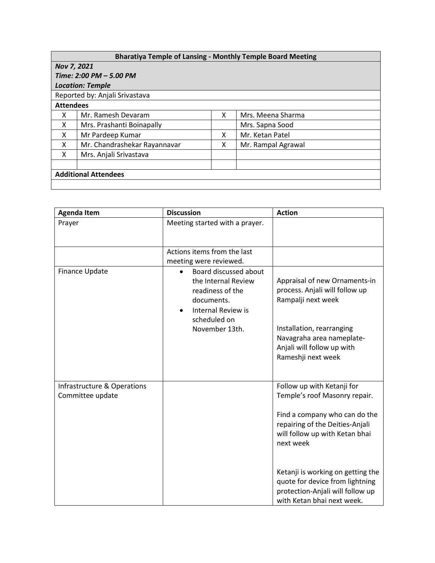## **Bharatiya Temple of Lansing - Monthly Temple Board Meeting**

| Nov 7, 2021                    |                              |   |                    |  |  |
|--------------------------------|------------------------------|---|--------------------|--|--|
| Time: 2:00 PM - 5.00 PM        |                              |   |                    |  |  |
| <b>Location: Temple</b>        |                              |   |                    |  |  |
| Reported by: Anjali Srivastava |                              |   |                    |  |  |
| <b>Attendees</b>               |                              |   |                    |  |  |
| x                              | Mr. Ramesh Devaram           | x | Mrs. Meena Sharma  |  |  |
| x                              | Mrs. Prashanti Boinapally    |   | Mrs. Sapna Sood    |  |  |
| X                              | Mr Pardeep Kumar             | x | Mr. Ketan Patel    |  |  |
| X                              | Mr. Chandrashekar Rayannavar | x | Mr. Rampal Agrawal |  |  |
| x                              | Mrs. Anjali Srivastava       |   |                    |  |  |
|                                |                              |   |                    |  |  |
| <b>Additional Attendees</b>    |                              |   |                    |  |  |
|                                |                              |   |                    |  |  |

| <b>Agenda Item</b>                              | <b>Discussion</b>                                                                                                                      | <b>Action</b>                                                                                                                                                                                                                                                                                                            |
|-------------------------------------------------|----------------------------------------------------------------------------------------------------------------------------------------|--------------------------------------------------------------------------------------------------------------------------------------------------------------------------------------------------------------------------------------------------------------------------------------------------------------------------|
| Prayer                                          | Meeting started with a prayer.                                                                                                         |                                                                                                                                                                                                                                                                                                                          |
|                                                 | Actions items from the last<br>meeting were reviewed.                                                                                  |                                                                                                                                                                                                                                                                                                                          |
| <b>Finance Update</b>                           | Board discussed about<br>the Internal Review<br>readiness of the<br>documents.<br>Internal Review is<br>scheduled on<br>November 13th. | Appraisal of new Ornaments-in<br>process. Anjali will follow up<br>Rampalji next week<br>Installation, rearranging<br>Navagraha area nameplate-<br>Anjali will follow up with<br>Rameshji next week                                                                                                                      |
| Infrastructure & Operations<br>Committee update |                                                                                                                                        | Follow up with Ketanji for<br>Temple's roof Masonry repair.<br>Find a company who can do the<br>repairing of the Deities-Anjali<br>will follow up with Ketan bhai<br>next week<br>Ketanji is working on getting the<br>quote for device from lightning<br>protection-Anjali will follow up<br>with Ketan bhai next week. |